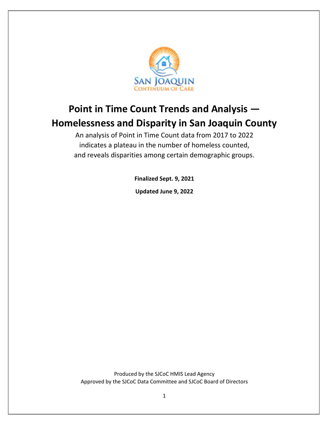

# **Point in Time Count Trends and Analysis — Homelessness and Disparity in San Joaquin County**

An analysis of Point in Time Count data from 2017 to 2022 indicates a plateau in the number of homeless counted, and reveals disparities among certain demographic groups.

**Finalized Sept. 9, 2021**

**Updated June 9, 2022**

Produced by the SJCoC HMIS Lead Agency Approved by the SJCoC Data Committee and SJCoC Board of Directors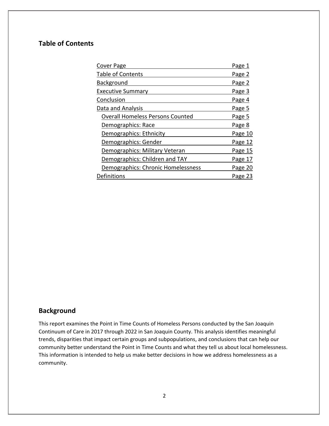## **Table of Contents**

| Cover Page                              | Page 1  |
|-----------------------------------------|---------|
| <b>Table of Contents</b>                | Page 2  |
| Background                              | Page 2  |
| <b>Executive Summary</b>                | Page 3  |
| Conclusion                              | Page 4  |
| Data and Analysis                       | Page 5  |
| <b>Overall Homeless Persons Counted</b> | Page 5  |
| Demographics: Race                      | Page 8  |
| Demographics: Ethnicity                 | Page 10 |
| Demographics: Gender                    | Page 12 |
| Demographics: Military Veteran          | Page 15 |
| Demographics: Children and TAY          | Page 17 |
| Demographics: Chronic Homelessness      | Page 20 |
| Definitions                             | Page 23 |
|                                         |         |

# **Background**

This report examines the Point in Time Counts of Homeless Persons conducted by the San Joaquin Continuum of Care in 2017 through 2022 in San Joaquin County. This analysis identifies meaningful trends, disparities that impact certain groups and subpopulations, and conclusions that can help our community better understand the Point in Time Counts and what they tell us about local homelessness. This information is intended to help us make better decisions in how we address homelessness as a community.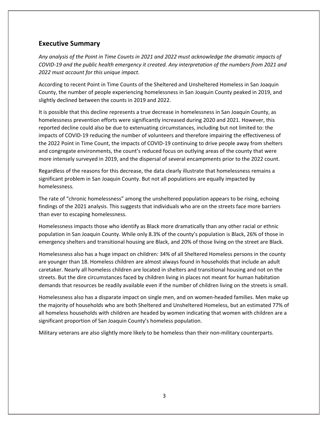### **Executive Summary**

*Any analysis of the Point in Time Counts in 2021 and 2022 must acknowledge the dramatic impacts of* COVID-19 and the public health emergency it created. Any interpretation of the numbers from 2021 and *2022 must account for this unique impact.* 

According to recent Point in Time Counts of the Sheltered and Unsheltered Homeless in San Joaquin County, the number of people experiencing homelessness in San Joaquin County peaked in 2019, and slightly declined between the counts in 2019 and 2022.

It is possible that this decline represents a true decrease in homelessness in San Joaquin County, as homelessness prevention efforts were significantly increased during 2020 and 2021. However, this reported decline could also be due to extenuating circumstances, including but not limited to: the impacts of COVID‐19 reducing the number of volunteers and therefore impairing the effectiveness of the 2022 Point in Time Count, the impacts of COVID‐19 continuing to drive people away from shelters and congregate environments, the count's reduced focus on outlying areas of the county that were more intensely surveyed in 2019, and the dispersal of several encampments prior to the 2022 count.

Regardless of the reasons for this decrease, the data clearly illustrate that homelessness remains a significant problem in San Joaquin County. But not all populations are equally impacted by homelessness.

The rate of "chronic homelessness" among the unsheltered population appears to be rising, echoing findings of the 2021 analysis. This suggests that individuals who are on the streets face more barriers than ever to escaping homelessness.

Homelessness impacts those who identify as Black more dramatically than any other racial or ethnic population in San Joaquin County. While only 8.3% of the county's population is Black, 26% of those in emergency shelters and transitional housing are Black, and 20% of those living on the street are Black.

Homelessness also has a huge impact on children: 34% of all Sheltered Homeless persons in the county are younger than 18. Homeless children are almost always found in households that include an adult caretaker. Nearly all homeless children are located in shelters and transitional housing and not on the streets. But the dire circumstances faced by children living in places not meant for human habitation demands that resources be readily available even if the number of children living on the streets is small.

Homelessness also has a disparate impact on single men, and on women‐headed families. Men make up the majority of households who are both Sheltered and Unsheltered Homeless, but an estimated 77% of all homeless households with children are headed by women indicating that women with children are a significant proportion of San Joaquin County's homeless population.

Military veterans are also slightly more likely to be homeless than their non‐military counterparts.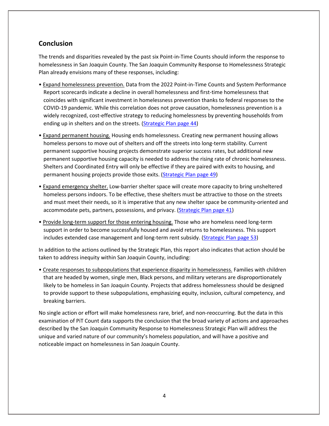### **Conclusion**

The trends and disparities revealed by the past six Point‐in‐Time Counts should inform the response to homelessness in San Joaquin County. The San Joaquin Community Response to Homelessness Strategic Plan already envisions many of these responses, including:

- Expand homelessness prevention. Data from the 2022 Point‐in‐Time Counts and System Performance Report scorecards indicate a decline in overall homelessness and first-time homelessness that coincides with significant investment in homelessness prevention thanks to federal responses to the COVID‐19 pandemic. While this correlation does not prove causation, homelessness prevention is a widely recognized, cost-effective strategy to reducing homelessness by preventing households from ending up in shelters and on the streets. (Strategic Plan page 44)
- Expand permanent housing. Housing ends homelessness. Creating new permanent housing allows homeless persons to move out of shelters and off the streets into long‐term stability. Current permanent supportive housing projects demonstrate superior success rates, but additional new permanent supportive housing capacity is needed to address the rising rate of chronic homelessness. Shelters and Coordinated Entry will only be effective if they are paired with exits to housing, and permanent housing projects provide those exits. (Strategic Plan page 49)
- Expand emergency shelter. Low‐barrier shelter space will create more capacity to bring unsheltered homeless persons indoors. To be effective, these shelters must be attractive to those on the streets and must meet their needs, so it is imperative that any new shelter space be community-oriented and accommodate pets, partners, possessions, and privacy. (Strategic Plan page 41)
- Provide long-term support for those entering housing. Those who are homeless need long-term support in order to become successfully housed and avoid returns to homelessness. This support includes extended case management and long-term rent subsidy. (Strategic Plan page 53)

In addition to the actions outlined by the Strategic Plan, this report also indicates that action should be taken to address inequity within San Joaquin County, including:

• Create responses to subpopulations that experience disparity in homelessness. Families with children that are headed by women, single men, Black persons, and military veterans are disproportionately likely to be homeless in San Joaquin County. Projects that address homelessness should be designed to provide support to these subpopulations, emphasizing equity, inclusion, cultural competency, and breaking barriers.

No single action or effort will make homelessness rare, brief, and non‐reoccurring. But the data in this examination of PiT Count data supports the conclusion that the broad variety of actions and approaches described by the San Joaquin Community Response to Homelessness Strategic Plan will address the unique and varied nature of our community's homeless population, and will have a positive and noticeable impact on homelessness in San Joaquin County.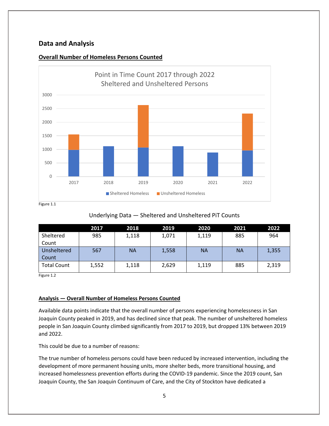### **Data and Analysis**



### **Overall Number of Homeless Persons Counted**

### Underlying Data — Sheltered and Unsheltered PiT Counts

|                    | 2017  | 2018  | 2019  | 2020      | 2021      | 2022  |
|--------------------|-------|-------|-------|-----------|-----------|-------|
| Sheltered          | 985   | 1,118 | 1,071 | 1,119     | 885       | 964   |
| Count              |       |       |       |           |           |       |
| Unsheltered        | 567   | ΝA    | 1,558 | <b>NA</b> | <b>NA</b> | 1,355 |
| Count              |       |       |       |           |           |       |
| <b>Total Count</b> | 1,552 | 1,118 | 2,629 | 1,119     | 885       | 2,319 |

Figure 1.2

### **Analysis — Overall Number of Homeless Persons Counted**

Available data points indicate that the overall number of persons experiencing homelessness in San Joaquin County peaked in 2019, and has declined since that peak. The number of unsheltered homeless people in San Joaquin County climbed significantly from 2017 to 2019, but dropped 13% between 2019 and 2022.

This could be due to a number of reasons:

The true number of homeless persons could have been reduced by increased intervention, including the development of more permanent housing units, more shelter beds, more transitional housing, and increased homelessness prevention efforts during the COVID‐19 pandemic. Since the 2019 count, San Joaquin County, the San Joaquin Continuum of Care, and the City of Stockton have dedicated a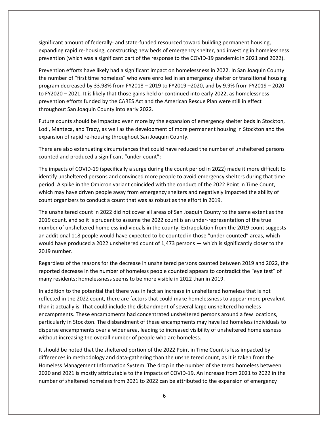significant amount of federally‐ and state‐funded resourced toward building permanent housing, expanding rapid re‐housing, constructing new beds of emergency shelter, and investing in homelessness prevention (which was a significant part of the response to the COVID‐19 pandemic in 2021 and 2022).

Prevention efforts have likely had a significant impact on homelessness in 2022. In San Joaquin County the number of "first time homeless" who were enrolled in an emergency shelter or transitional housing program decreased by 33.98% from FY2018 – 2019 to FY2019 –2020, and by 9.9% from FY2019 – 2020 to FY2020 – 2021. It is likely that those gains held or continued into early 2022, as homelessness prevention efforts funded by the CARES Act and the American Rescue Plan were still in effect throughout San Joaquin County into early 2022.

Future counts should be impacted even more by the expansion of emergency shelter beds in Stockton, Lodi, Manteca, and Tracy, as well as the development of more permanent housing in Stockton and the expansion of rapid re‐housing throughout San Joaquin County.

There are also extenuating circumstances that could have reduced the number of unsheltered persons counted and produced a significant "under‐count":

The impacts of COVID‐19 (specifically a surge during the count period in 2022) made it more difficult to identify unsheltered persons and convinced more people to avoid emergency shelters during that time period. A spike in the Omicron variant coincided with the conduct of the 2022 Point in Time Count, which may have driven people away from emergency shelters and negatively impacted the ability of count organizers to conduct a count that was as robust as the effort in 2019.

The unsheltered count in 2022 did not cover all areas of San Joaquin County to the same extent as the 2019 count, and so it is prudent to assume the 2022 count is an under‐representation of the true number of unsheltered homeless individuals in the county. Extrapolation from the 2019 count suggests an additional 118 people would have expected to be counted in those "under‐counted" areas, which would have produced a 2022 unsheltered count of 1,473 persons — which is significantly closer to the 2019 number.

Regardless of the reasons for the decrease in unsheltered persons counted between 2019 and 2022, the reported decrease in the number of homeless people counted appears to contradict the "eye test" of many residents; homelessness seems to be more visible in 2022 than in 2019.

In addition to the potential that there was in fact an increase in unsheltered homeless that is not reflected in the 2022 count, there are factors that could make homelessness to appear more prevalent than it actually is. That could include the disbandment of several large unsheltered homeless encampments. These encampments had concentrated unsheltered persons around a few locations, particularly in Stockton. The disbandment of these encampments may have led homeless individuals to disperse encampments over a wider area, leading to increased visibility of unsheltered homelessness without increasing the overall number of people who are homeless.

It should be noted that the sheltered portion of the 2022 Point in Time Count is less impacted by differences in methodology and data‐gathering than the unsheltered count, as it is taken from the Homeless Management Information System. The drop in the number of sheltered homeless between 2020 and 2021 is mostly attributable to the impacts of COVID‐19. An increase from 2021 to 2022 in the number of sheltered homeless from 2021 to 2022 can be attributed to the expansion of emergency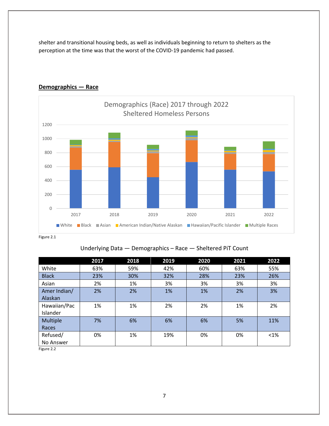shelter and transitional housing beds, as well as individuals beginning to return to shelters as the perception at the time was that the worst of the COVID‐19 pandemic had passed.



### **Demographics — Race**

Figure 2.1

### Underlying Data — Demographics – Race — Sheltered PiT Count

|              | 2017 | 2018 | 2019 | 2020 | 2021 | 2022    |
|--------------|------|------|------|------|------|---------|
| White        | 63%  | 59%  | 42%  | 60%  | 63%  | 55%     |
| <b>Black</b> | 23%  | 30%  | 32%  | 28%  | 23%  | 26%     |
| Asian        | 2%   | 1%   | 3%   | 3%   | 3%   | 3%      |
| Amer Indian/ | 2%   | 2%   | 1%   | 1%   | 2%   | 3%      |
| Alaskan      |      |      |      |      |      |         |
| Hawaiian/Pac | 1%   | 1%   | 2%   | 2%   | 1%   | 2%      |
| Islander     |      |      |      |      |      |         |
| Multiple     | 7%   | 6%   | 6%   | 6%   | 5%   | 11%     |
| Races        |      |      |      |      |      |         |
| Refused/     | 0%   | 1%   | 19%  | 0%   | 0%   | $< 1\%$ |
| No Answer    |      |      |      |      |      |         |

Figure 2.2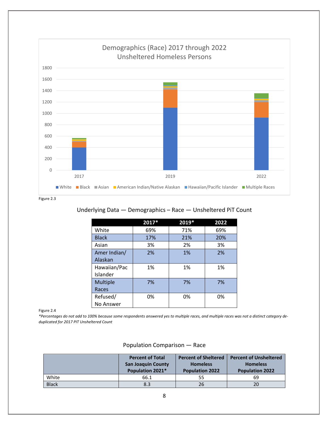

Figure 2.3

### Underlying Data — Demographics – Race — Unsheltered PiT Count

|                 | 2017* | 2019* | 2022 |
|-----------------|-------|-------|------|
| White           | 69%   | 71%   | 69%  |
| <b>Black</b>    | 17%   | 21%   | 20%  |
| Asian           | 3%    | 2%    | 3%   |
| Amer Indian/    | 2%    | 1%    | 2%   |
| Alaskan         |       |       |      |
| Hawaiian/Pac    | 1%    | 1%    | 1%   |
| Islander        |       |       |      |
| <b>Multiple</b> | 7%    | 7%    | 7%   |
| Races           |       |       |      |
| Refused/        | 0%    | 0%    | 0%   |
| No Answer       |       |       |      |

Figure 2.4

\*Percentages do not add to 100% because some respondents answered yes to multiple races, and multiple races was not a distinct category de*duplicated for 2017 PIT Unsheltered Count*

|              | <b>Percent of Total</b><br><b>San Joaquin County</b><br>Population 2021* | <b>Percent of Sheltered</b><br><b>Homeless</b><br><b>Population 2022</b> | <b>Percent of Unsheltered</b><br><b>Homeless</b><br><b>Population 2022</b> |
|--------------|--------------------------------------------------------------------------|--------------------------------------------------------------------------|----------------------------------------------------------------------------|
| White        | 66.1                                                                     | 55                                                                       | 69                                                                         |
| <b>Black</b> | 8.3                                                                      | 26                                                                       | 20                                                                         |

### Population Comparison — Race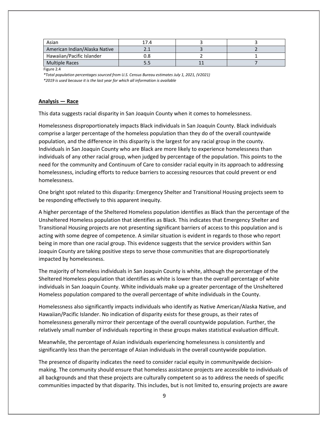| Asian                         | 17.4 |  |
|-------------------------------|------|--|
| American Indian/Alaska Native |      |  |
| Hawaiian/Pacific Islander     | ວ.8  |  |
| Multiple Races                | 5.5  |  |

Figure 2.4

*\*Total population percentages sourced from U.S. Census Bureau estimates July 1, 2021, (V2021) \*2019 is used because it is the last year for which all information is available*

#### **Analysis — Race**

This data suggests racial disparity in San Joaquin County when it comes to homelessness.

Homelessness disproportionately impacts Black individuals in San Joaquin County. Black individuals comprise a larger percentage of the homeless population than they do of the overall countywide population, and the difference in this disparity is the largest for any racial group in the county. Individuals in San Joaquin County who are Black are more likely to experience homelessness than individuals of any other racial group, when judged by percentage of the population. This points to the need for the community and Continuum of Care to consider racial equity in its approach to addressing homelessness, including efforts to reduce barriers to accessing resources that could prevent or end homelessness.

One bright spot related to this disparity: Emergency Shelter and Transitional Housing projects seem to be responding effectively to this apparent inequity.

A higher percentage of the Sheltered Homeless population identifies as Black than the percentage of the Unsheltered Homeless population that identifies as Black. This indicates that Emergency Shelter and Transitional Housing projects are not presenting significant barriers of access to this population and is acting with some degree of competence. A similar situation is evident in regards to those who report being in more than one racial group. This evidence suggests that the service providers within San Joaquin County are taking positive steps to serve those communities that are disproportionately impacted by homelessness.

The majority of homeless individuals in San Joaquin County is white, although the percentage of the Sheltered Homeless population that identifies as white is lower than the overall percentage of white individuals in San Joaquin County. White individuals make up a greater percentage of the Unsheltered Homeless population compared to the overall percentage of white individuals in the County.

Homelessness also significantly impacts individuals who identify as Native American/Alaska Native, and Hawaiian/Pacific Islander. No indication of disparity exists for these groups, as their rates of homelessness generally mirror their percentage of the overall countywide population. Further, the relatively small number of individuals reporting in these groups makes statistical evaluation difficult.

Meanwhile, the percentage of Asian individuals experiencing homelessness is consistently and significantly less than the percentage of Asian individuals in the overall countywide population.

The presence of disparity indicates the need to consider racial equity in communitywide decision‐ making. The community should ensure that homeless assistance projects are accessible to individuals of all backgrounds and that these projects are culturally competent so as to address the needs of specific communities impacted by that disparity. This includes, but is not limited to, ensuring projects are aware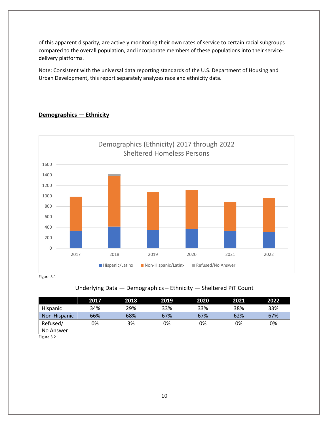of this apparent disparity, are actively monitoring their own rates of service to certain racial subgroups compared to the overall population, and incorporate members of these populations into their service‐ delivery platforms.

Note: Consistent with the universal data reporting standards of the U.S. Department of Housing and Urban Development, this report separately analyzes race and ethnicity data.

### **Demographics — Ethnicity**



# Underlying Data — Demographics – Ethnicity — Sheltered PiT Count

|              | 2017 | 2018 | 2019 | 2020 | 2021 | 2022 |
|--------------|------|------|------|------|------|------|
| Hispanic     | 34%  | 29%  | 33%  | 33%  | 38%  | 33%  |
| Non-Hispanic | 66%  | 68%  | 67%  | 67%  | 62%  | 67%  |
| Refused/     | 0%   | 3%   | 0%   | 0%   | 0%   | 0%   |
| No Answer    |      |      |      |      |      |      |

Figure 3.2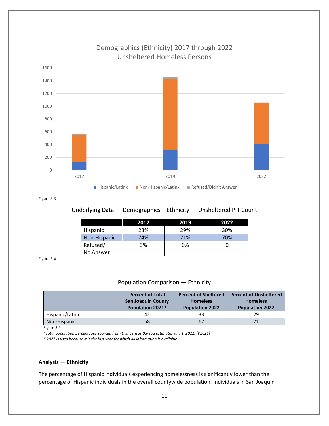

Figure 3.3

### Underlying Data — Demographics – Ethnicity — Unsheltered PiT Count

|                 | 2017 | 2019 | 2022 |
|-----------------|------|------|------|
| <b>Hispanic</b> | 23%  | 29%  | 30%  |
| Non-Hispanic    | 74%  | 71%  | 70%  |
| Refused/        | 3%   | 0%   |      |
| No Answer       |      |      |      |

Figure 3.4

### Population Comparison — Ethnicity

|                 | <b>Percent of Total</b><br><b>San Joaquin County</b><br>Population 2021* | <b>Percent of Sheltered</b><br><b>Homeless</b><br><b>Population 2022</b> | <b>Percent of Unsheltered</b><br><b>Homeless</b><br><b>Population 2022</b> |
|-----------------|--------------------------------------------------------------------------|--------------------------------------------------------------------------|----------------------------------------------------------------------------|
| Hispanic/Latinx | 42                                                                       | 33                                                                       | 29                                                                         |
| Non-Hispanic    | 58                                                                       | 67                                                                       | 71                                                                         |

Figure 3.5

*\*Total population percentages sourced from U.S. Census Bureau estimates July 1, 2021, (V2021)*

*\* 2021 is used because it is the last year for which all information is available*

#### **Analysis — Ethnicity**

The percentage of Hispanic individuals experiencing homelessness is significantly lower than the percentage of Hispanic individuals in the overall countywide population. Individuals in San Joaquin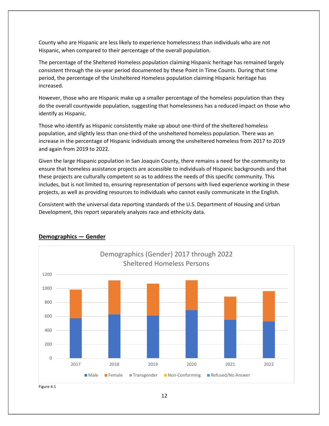County who are Hispanic are less likely to experience homelessness than individuals who are not Hispanic, when compared to their percentage of the overall population.

The percentage of the Sheltered Homeless population claiming Hispanic heritage has remained largely consistent through the six‐year period documented by these Point in Time Counts. During that time period, the percentage of the Unsheltered Homeless population claiming Hispanic heritage has increased.

However, those who are Hispanic make up a smaller percentage of the homeless population than they do the overall countywide population, suggesting that homelessness has a reduced impact on those who identify as Hispanic.

Those who identify as Hispanic consistently make up about one‐third of the sheltered homeless population, and slightly less than one-third of the unsheltered homeless population. There was an increase in the percentage of Hispanic individuals among the unsheltered homeless from 2017 to 2019 and again from 2019 to 2022.

Given the large Hispanic population in San Joaquin County, there remains a need for the community to ensure that homeless assistance projects are accessible to individuals of Hispanic backgrounds and that these projects are culturally competent so as to address the needs of this specific community. This includes, but is not limited to, ensuring representation of persons with lived experience working in these projects, as well as providing resources to individuals who cannot easily communicate in the English.

Consistent with the universal data reporting standards of the U.S. Department of Housing and Urban Development, this report separately analyzes race and ethnicity data.



### **Demographics — Gender**

Figure 4.1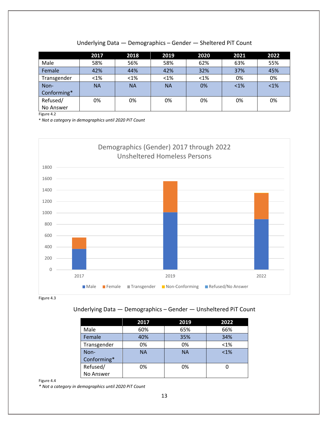|             | 2017      | 2018      | 2019      | 2020    | 2021   | 2022 |
|-------------|-----------|-----------|-----------|---------|--------|------|
| Male        | 58%       | 56%       | 58%       | 62%     | 63%    | 55%  |
| Female      | 42%       | 44%       | 42%       | 32%     | 37%    | 45%  |
| Transgender | $< 1\%$   | $< 1\%$   | $< 1\%$   | $< 1\%$ | 0%     | 0%   |
| Non-        | <b>NA</b> | <b>NA</b> | <b>NA</b> | 0%      | $<1\%$ | < 1% |
| Conforming* |           |           |           |         |        |      |
| Refused/    | 0%        | 0%        | 0%        | 0%      | 0%     | 0%   |
| No Answer   |           |           |           |         |        |      |

Figure 4.2

\* *Not a category in demographics until 2020 PiT Count*



Figure 4.3

### Underlying Data — Demographics – Gender — Unsheltered PiT Count

|             | 2017      | 2019      | 2022    |
|-------------|-----------|-----------|---------|
| Male        | 60%       | 65%       | 66%     |
| Female      | 40%       | 35%       | 34%     |
| Transgender | 0%        | 0%        | $< 1\%$ |
| Non-        | <b>NA</b> | <b>NA</b> | $< 1\%$ |
| Conforming* |           |           |         |
| Refused/    | 0%        | 0%        |         |
| No Answer   |           |           |         |

Figure 4.4

*\* Not a category in demographics until 2020 PiT Count*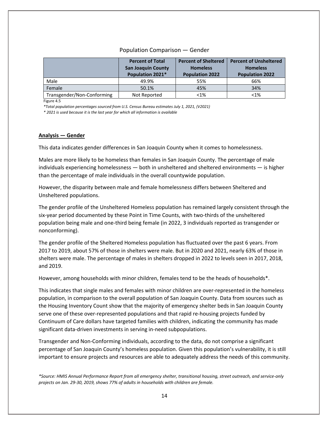### Population Comparison — Gender

|                            | <b>Percent of Total</b>   | <b>Percent of Sheltered</b> | <b>Percent of Unsheltered</b> |  |
|----------------------------|---------------------------|-----------------------------|-------------------------------|--|
|                            | <b>San Joaquin County</b> | <b>Homeless</b>             | <b>Homeless</b>               |  |
|                            | Population 2021*          | <b>Population 2022</b>      | <b>Population 2022</b>        |  |
| Male                       | 49.9%                     | 55%                         | 66%                           |  |
| Female                     | 50.1%                     | 45%                         | 34%                           |  |
| Transgender/Non-Conforming | Not Reported              | $< 1\%$                     | $< 1\%$                       |  |

Figure 4.5

*\*Total population percentages sourced from U.S. Census Bureau estimates July 1, 2021, (V2021)*

*\* 2021 is used because it is the last year for which all information is available*

#### **Analysis — Gender**

This data indicates gender differences in San Joaquin County when it comes to homelessness.

Males are more likely to be homeless than females in San Joaquin County. The percentage of male individuals experiencing homelessness — both in unsheltered and sheltered environments — is higher than the percentage of male individuals in the overall countywide population.

However, the disparity between male and female homelessness differs between Sheltered and Unsheltered populations.

The gender profile of the Unsheltered Homeless population has remained largely consistent through the six‐year period documented by these Point in Time Counts, with two‐thirds of the unsheltered population being male and one‐third being female (in 2022, 3 individuals reported as transgender or nonconforming).

The gender profile of the Sheltered Homeless population has fluctuated over the past 6 years. From 2017 to 2019, about 57% of those in shelters were male. But in 2020 and 2021, nearly 63% of those in shelters were male. The percentage of males in shelters dropped in 2022 to levels seen in 2017, 2018, and 2019.

However, among households with minor children, females tend to be the heads of households\*.

This indicates that single males and females with minor children are over-represented in the homeless population, in comparison to the overall population of San Joaquin County. Data from sources such as the Housing Inventory Count show that the majority of emergency shelter beds in San Joaquin County serve one of these over-represented populations and that rapid re-housing projects funded by Continuum of Care dollars have targeted families with children, indicating the community has made significant data‐driven investments in serving in‐need subpopulations.

Transgender and Non‐Conforming individuals, according to the data, do not comprise a significant percentage of San Joaquin County's homeless population. Given this population's vulnerability, it is still important to ensure projects and resources are able to adequately address the needs of this community.

\*Source: HMIS Annual Performance Report from all emergency shelter, transitional housing, street outreach, and service-only *projects on Jan. 29‐30, 2019, shows 77% of adults in households with children are female.*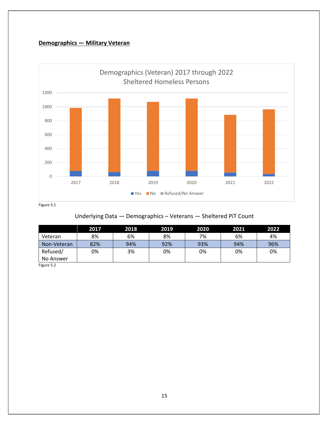### **Demographics — Military Veteran**



### Underlying Data — Demographics – Veterans — Sheltered PiT Count

|             | 2017 | 2018 | 2019 | 2020 | 2021 | 2022 |
|-------------|------|------|------|------|------|------|
| Veteran     | 8%   | 6%   | 8%   | 7%   | 6%   | 4%   |
| Non-Veteran | 82%  | 94%  | 92%  | 93%  | 94%  | 96%  |
| Refused/    | 0%   | 3%   | 0%   | 0%   | 0%   | 0%   |
| No Answer   |      |      |      |      |      |      |

Figure 5.2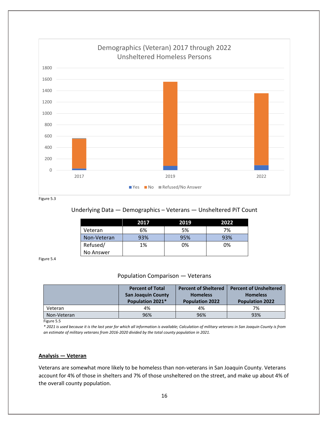

Figure 5.3

### Underlying Data — Demographics – Veterans — Unsheltered PiT Count

|             | 2017 | 2019 | 2022 |
|-------------|------|------|------|
| Veteran     | 6%   | 5%   | 7%   |
| Non-Veteran | 93%  | 95%  | 93%  |
| Refused/    | 1%   | 0%   | 0%   |
| No Answer   |      |      |      |

Figure 5.4

### Population Comparison — Veterans

|             | <b>Percent of Total</b><br><b>San Joaquin County</b><br>Population 2021* | <b>Percent of Sheltered</b><br><b>Homeless</b><br><b>Population 2022</b> | <b>Percent of Unsheltered</b><br><b>Homeless</b><br><b>Population 2022</b> |
|-------------|--------------------------------------------------------------------------|--------------------------------------------------------------------------|----------------------------------------------------------------------------|
| Veteran     | 4%                                                                       | 4%                                                                       | 7%                                                                         |
| Non-Veteran | 96%                                                                      | 96%                                                                      | 93%                                                                        |

Figure 5.5

\* 2021 is used because it is the last year for which all information is available; Calculation of military veterans in San Joaquin County is from *an estimate of military veterans from 2016‐2020 divided by the total county population in 2021.*

### **Analysis — Veteran**

Veterans are somewhat more likely to be homeless than non‐veterans in San Joaquin County. Veterans account for 4% of those in shelters and 7% of those unsheltered on the street, and make up about 4% of the overall county population.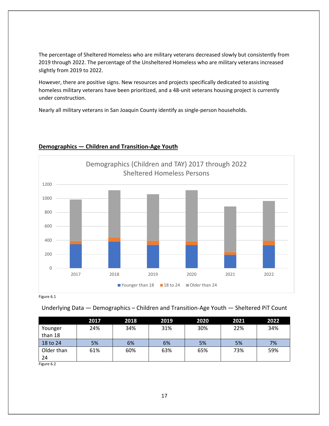The percentage of Sheltered Homeless who are military veterans decreased slowly but consistently from 2019 through 2022. The percentage of the Unsheltered Homeless who are military veterans increased slightly from 2019 to 2022.

However, there are positive signs. New resources and projects specifically dedicated to assisting homeless military veterans have been prioritized, and a 48-unit veterans housing project is currently under construction.

Nearly all military veterans in San Joaquin County identify as single‐person households.



### **Demographics — Children and Transition‐Age Youth**

Figure 6.1

Underlying Data — Demographics – Children and Transition‐Age Youth — Sheltered PiT Count

|                    | 2017 | 2018 | 2019 | 2020 | 2021 | 2022 |
|--------------------|------|------|------|------|------|------|
| Younger<br>than 18 | 24%  | 34%  | 31%  | 30%  | 22%  | 34%  |
| 18 to 24           | 5%   | 6%   | 6%   | 5%   | 5%   | 7%   |
| Older than<br>24   | 61%  | 60%  | 63%  | 65%  | 73%  | 59%  |

Figure 6.2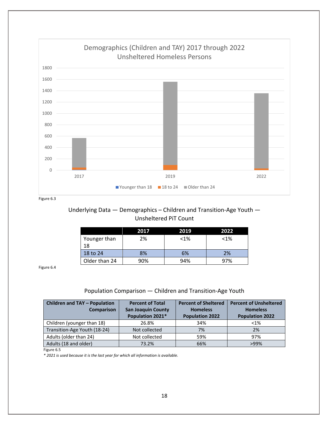

Figure 6.3

### Underlying Data — Demographics – Children and Transition‐Age Youth — Unsheltered PiT Count

|                    | 2017 | 2019    | 2022    |
|--------------------|------|---------|---------|
| Younger than<br>18 | 2%   | $< 1\%$ | $< 1\%$ |
| 18 to 24           | 8%   | 6%      | 2%      |
| Older than 24      | 90%  | 94%     | 97%     |

Figure 6.4

### Population Comparison — Children and Transition‐Age Youth

| <b>Children and TAY - Population</b><br><b>Comparison</b> | <b>Percent of Total</b><br><b>San Joaquin County</b><br>Population 2021* | <b>Percent of Sheltered</b><br><b>Homeless</b><br><b>Population 2022</b> | <b>Percent of Unsheltered</b><br><b>Homeless</b><br><b>Population 2022</b> |
|-----------------------------------------------------------|--------------------------------------------------------------------------|--------------------------------------------------------------------------|----------------------------------------------------------------------------|
| Children (younger than 18)                                | 26.8%                                                                    | 34%                                                                      | $< 1\%$                                                                    |
| Transition-Age Youth (18-24)                              | Not collected                                                            | 7%                                                                       | 2%                                                                         |
| Adults (older than 24)                                    | Not collected                                                            | 59%                                                                      | 97%                                                                        |
| Adults (18 and older)                                     | 73.2%                                                                    | 66%                                                                      | $>99\%$                                                                    |

Figure 6.5

*\* 2021 is used because it is the last year for which all information is available.*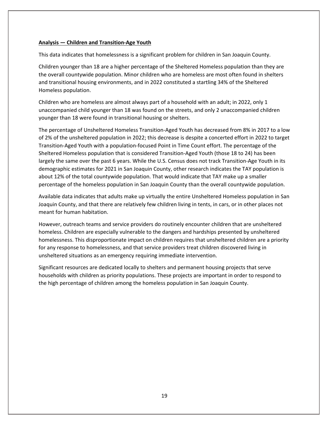### **Analysis — Children and Transition‐Age Youth**

This data indicates that homelessness is a significant problem for children in San Joaquin County.

Children younger than 18 are a higher percentage of the Sheltered Homeless population than they are the overall countywide population. Minor children who are homeless are most often found in shelters and transitional housing environments, and in 2022 constituted a startling 34% of the Sheltered Homeless population.

Children who are homeless are almost always part of a household with an adult; in 2022, only 1 unaccompanied child younger than 18 was found on the streets, and only 2 unaccompanied children younger than 18 were found in transitional housing or shelters.

The percentage of Unsheltered Homeless Transition‐Aged Youth has decreased from 8% in 2017 to a low of 2% of the unsheltered population in 2022; this decrease is despite a concerted effort in 2022 to target Transition‐Aged Youth with a population‐focused Point in Time Count effort. The percentage of the Sheltered Homeless population that is considered Transition‐Aged Youth (those 18 to 24) has been largely the same over the past 6 years. While the U.S. Census does not track Transition‐Age Youth in its demographic estimates for 2021 in San Joaquin County, other research indicates the TAY population is about 12% of the total countywide population. That would indicate that TAY make up a smaller percentage of the homeless population in San Joaquin County than the overall countywide population.

Available data indicates that adults make up virtually the entire Unsheltered Homeless population in San Joaquin County, and that there are relatively few children living in tents, in cars, or in other places not meant for human habitation.

However, outreach teams and service providers do routinely encounter children that are unsheltered homeless. Children are especially vulnerable to the dangers and hardships presented by unsheltered homelessness. This disproportionate impact on children requires that unsheltered children are a priority for any response to homelessness, and that service providers treat children discovered living in unsheltered situations as an emergency requiring immediate intervention.

Significant resources are dedicated locally to shelters and permanent housing projects that serve households with children as priority populations. These projects are important in order to respond to the high percentage of children among the homeless population in San Joaquin County.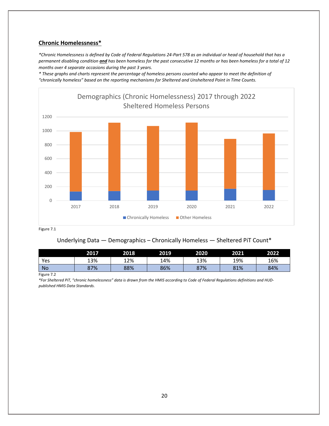### **Chronic Homelessness\***

\*Chronic Homelessness is defined by Code of Federal Regulations 24-Part 578 as an individual or head of household that has a permanent disabling condition and has been homeless for the past consecutive 12 months or has been homeless for a total of 12 *months over 4 separate occasions during the past 3 years.* 

\* These graphs and charts represent the percentage of homeless persons counted who appear to meet the definition of *"chronically homeless" based on the reporting mechanisms for Sheltered and Unsheltered Point in Time Counts.*



Figure 7.1

### Underlying Data — Demographics – Chronically Homeless — Sheltered PiT Count\*

|           | 2017 | 2018 | 2019 | 2020 | 2021 | 2022 |
|-----------|------|------|------|------|------|------|
| Yes       | 13%  | 12%  | 14%  | 13%  | 19%  | 16%  |
| <b>No</b> | 87%  | 88%  | 86%  | 87%  | 81%  | 84%  |

Figure 7.2

\*For Sheltered PiT, "chronic homelessness" data is drawn from the HMIS according to Code of Federal Regulations definitions and HUD*published HMIS Data Standards.*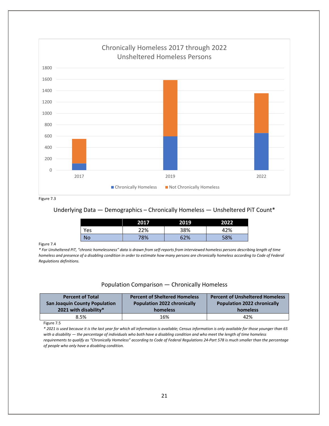

Figure 7.3

### Underlying Data — Demographics – Chronically Homeless — Unsheltered PiT Count\*

|     | 2017 | 2019 | 2022 |
|-----|------|------|------|
| Yes | 22%  | 38%  | 42%  |
| No  | 78%  | 52%  | 58%  |

#### Figure 7.4

\* For Unsheltered PiT, "chronic homelessness" data is drawn from self-reports from interviewed homeless persons describing length of time homeless and presence of a disabling condition in order to estimate how many persons are chronically homeless according to Code of Federal *Regulations definitions.*

### Population Comparison — Chronically Homeless

| <b>Percent of Total</b><br><b>San Joaquin County Population</b> | <b>Percent of Sheltered Homeless</b><br><b>Population 2022 chronically</b> | <b>Percent of Unsheltered Homeless</b><br><b>Population 2022 chronically</b> |
|-----------------------------------------------------------------|----------------------------------------------------------------------------|------------------------------------------------------------------------------|
| 2021 with disability*                                           | homeless                                                                   | homeless                                                                     |
| 8.5%                                                            | 16%                                                                        | 42%                                                                          |

Figure 7.5

\* 2021 is used because it is the last year for which all information is available; Census information is only available for those younger than 65 with a disability - the percentage of individuals who both have a disabling condition and who meet the length of time homeless requirements to qualify as "Chronically Homeless" according to Code of Federal Regulations 24-Part 578 is much smaller than the percentage *of people who only have a disabling condition.*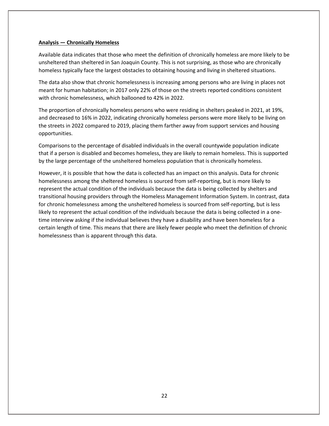#### **Analysis — Chronically Homeless**

Available data indicates that those who meet the definition of chronically homeless are more likely to be unsheltered than sheltered in San Joaquin County. This is not surprising, as those who are chronically homeless typically face the largest obstacles to obtaining housing and living in sheltered situations.

The data also show that chronic homelessness is increasing among persons who are living in places not meant for human habitation; in 2017 only 22% of those on the streets reported conditions consistent with chronic homelessness, which ballooned to 42% in 2022.

The proportion of chronically homeless persons who were residing in shelters peaked in 2021, at 19%, and decreased to 16% in 2022, indicating chronically homeless persons were more likely to be living on the streets in 2022 compared to 2019, placing them farther away from support services and housing opportunities.

Comparisons to the percentage of disabled individuals in the overall countywide population indicate that if a person is disabled and becomes homeless, they are likely to remain homeless. This is supported by the large percentage of the unsheltered homeless population that is chronically homeless.

However, it is possible that how the data is collected has an impact on this analysis. Data for chronic homelessness among the sheltered homeless is sourced from self-reporting, but is more likely to represent the actual condition of the individuals because the data is being collected by shelters and transitional housing providers through the Homeless Management Information System. In contrast, data for chronic homelessness among the unsheltered homeless is sourced from self-reporting, but is less likely to represent the actual condition of the individuals because the data is being collected in a one‐ time interview asking if the individual believes they have a disability and have been homeless for a certain length of time. This means that there are likely fewer people who meet the definition of chronic homelessness than is apparent through this data.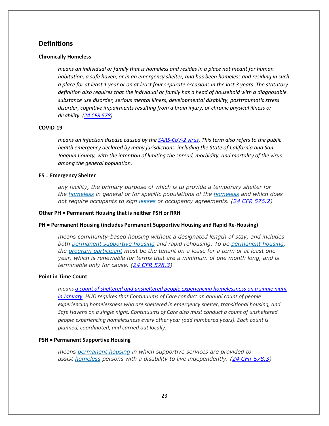### **Definitions**

#### **Chronically Homeless**

*means an individual or family that is homeless and resides in a place not meant for human habitation, a safe haven, or in an emergency shelter, and has been homeless and residing in such* a place for at least 1 year or on at least four separate occasions in the last 3 years. The statutory *definition also requires that the individual or family has a head of household with a diagnosable substance use disorder, serious mental illness, developmental disability, posttraumatic stress disorder, cognitive impairments resulting from a brain injury, or chronic physical illness or disability. (24 CFR 578)*

#### **COVID‐19**

means an infection disease caused by the SARS-CoV-2 virus. This term also refers to the public *health emergency declared by many jurisdictions, including the State of California and San Joaquin County, with the intention of limiting the spread, morbidity, and mortality of the virus among the general population.*

#### **ES = Emergency Shelter**

*any facility, the primary purpose of which is to provide a temporary shelter for the homeless in general or for specific populations of the homeless and which does not require occupants to sign leases or occupancy agreements. (24 CFR 576.2)*

#### **Other PH = Permanent Housing that is neither PSH or RRH**

**PH = Permanent Housing (includes Permanent Supportive Housing and Rapid Re‐Housing)**

*means community-based housing without a designated length of stay, and includes both permanent supportive housing and rapid rehousing. To be permanent housing, the program participant must be the tenant on a lease for a term of at least one year, which is renewable for terms that are a minimum of one month long, and is terminable only for cause. (24 CFR 578.3)*

#### **Point in Time Count**

*means a count of sheltered and unsheltered people experiencing homelessness on a single night in January. HUD requires that Continuums of Care conduct an annual count of people experiencing homelessness who are sheltered in emergency shelter, transitional housing, and Safe Havens on a single night. Continuums of Care also must conduct a count of unsheltered people experiencing homelessness every other year (odd numbered years). Each count is planned, coordinated, and carried out locally.*

#### **PSH = Permanent Supportive Housing**

*means permanent housing in which supportive services are provided to assist homeless persons with a disability to live independently. (24 CFR 578.3)*